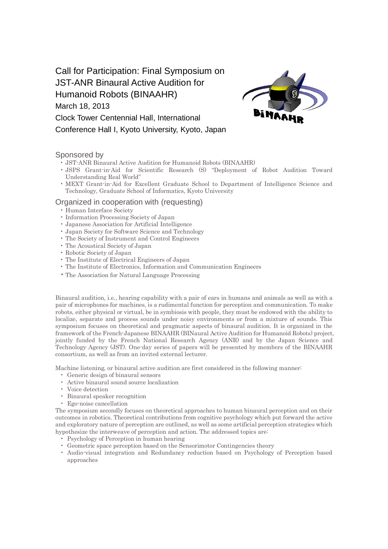# Call for Participation: Final Symposium on JST-ANR Binaural Active Audition for Humanoid Robots (BINAAHR) March 18, 2013 Clock Tower Centennial Hall, International Conference Hall I, Kyoto University, Kyoto, Japan



### Sponsored by

- JST-ANR Binaural Active Audition for Humanoid Robots (BINAAHR)
- JSPS Grant-in-Aid for Scientific Research (S) "Deployment of Robot Audition Toward Understanding Real World"
- MEXT Grant-in-Aid for Excellent Graduate School to Department of Intelligence Science and Technology, Graduate School of Informatics, Kyoto University

# Organized in cooperation with (requesting)

- Human Interface Society
- Information Processing Society of Japan
- Japanese Association for Artificial Intelligence
- Japan Society for Software Science and Technology
- The Society of Instrument and Control Engineers
- The Acoustical Society of Japan
- Robotic Society of Japan
- The Institute of Electrical Engineers of Japan
- The Institute of Electronics, Information and Communication Engineers
- The Association for Natural Language Processing

Binaural audition, i.e., hearing capability with a pair of ears in humans and animals as well as with a pair of microphones for machines, is a rudimental function for perception and communication. To make robots, either physical or virtual, be in symbiosis with people, they must be endowed with the ability to localize, separate and process sounds under noisy environments or from a mixture of sounds. This symposium focuses on theoretical and pragmatic aspects of binaural audition. It is organized in the framework of the French-Japanese BINAAHR (BINaural Active Audition for Humanoid Robots) project, jointly funded by the French National Research Agency (ANR) and by the Japan Science and Technology Agency (JST). One-day series of papers will be presented by members of the BINAAHR consortium, as well as from an invited external lecturer.

Machine listening, or binaural active audition are first considered in the following manner:

- Generic design of binaural sensors
- Active binaural sound source localization
- Voice detection
- Binaural speaker recognition
- Ego-noise cancellation

The symposium secondly focuses on theoretical approaches to human binaural perception and on their outcomes in robotics. Theoretical contributions from cognitive psychology which put forward the active and exploratory nature of perception are outlined, as well as some artificial perception strategies which hypothesize the interweave of perception and action. The addressed topics are:

- Psychology of Perception in human hearing
- Geometric space perception based on the Sensorimotor Contingencies theory
- Audio-visual integration and Redundancy reduction based on Psychology of Perception based approaches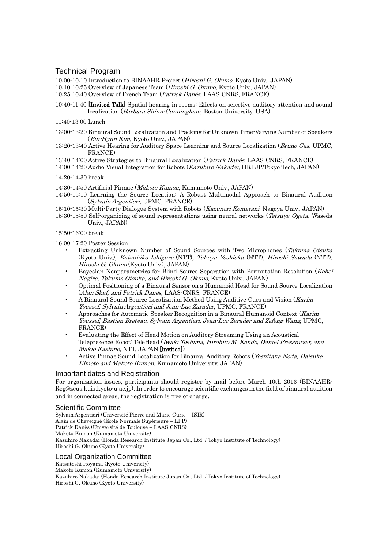# Technical Program

10:00-10:10 Introduction to BINAAHR Project (Hiroshi G. Okuno, Kyoto Univ., JAPAN) 10:10-10:25 Overview of Japanese Team (Hiroshi G. Okuno, Kyoto Univ., JAPAN) 10:25-10:40 Overview of French Team (Patrick Danès, LAAS-CNRS, FRANCE)

10:40-11:40 [Invited Talk] Spatial hearing in rooms: Effects on selective auditory attention and sound localization (Barbara Shinn-Cunningham, Boston University, USA)

11:40-13:00 Lunch

- 13:00-13:20 Binaural Sound Localization and Tracking for Unknown Time-Varying Number of Speakers (Eui-Hyun Kim, Kyoto Univ., JAPAN)
- 13:20-13:40 Active Hearing for Auditory Space Learning and Source Localization (Bruno Gas, UPMC, FRANCE)
- 13:40-14:00 Active Strategies to Binaural Localization (Patrick Danès, LAAS-CNRS, FRANCE)
- 14:00-14:20 Audio-Visual Integration for Robots (Kazuhiro Nakadai, HRI-JP/Tokyo Tech, JAPAN) 14:20-14:30 break

14:30-14:50 Artificial Pinnae (Makoto Kumon, Kumamoto Univ., JAPAN)

- 14:50-15:10 Learning the Source Location: A Robust Multimodal Approach to Binaural Audition (Sylvain Argentieri, UPMC, FRANCE)
- 15:10-15:30 Multi-Party Dialogue System with Robots (Kazunori Komatani, Nagoya Univ., JAPAN)
- 15:30-15:50 Self-organizing of sound representations using neural networks (Tetsuya Ogata, Waseda Univ., JAPAN)

15:50-16:00 break

16:00-17:20 Poster Session

- Extracting Unknown Number of Sound Sources with Two Microphones (Takuma Otsuka (Kyoto Univ.), Katsuhiko Ishiguro (NTT), Takuya Yoshioka (NTT), Hiroshi Sawada (NTT), Hiroshi G. Okuno (Kyoto Univ.), JAPAN)
- Bayesian Nonparametrics for Blind Source Separation with Permutation Resolution (Kohei Nagira, Takuma Otsuka, and Hiroshi G. Okuno, Kyoto Univ., JAPAN)
- Optimal Positioning of a Binaural Sensor on a Humanoid Head for Sound Source Localization (Alan Skaf, and Patrick Danès, LAAS-CNRS, FRANCE)
- A Binaural Sound Source Localization Method Using Auditive Cues and Vision (Karim Youssef, Sylvain Argentieri and Jean-Luc Zarader, UPMC, FRANCE)
- Approaches for Automatic Speaker Recognition in a Binaural Humanoid Context (Karim Youssef, Bastien Breteau, Sylvain Argentieri, Jean-Luc Zarader and Zefeng Wang, UPMC, FRANCE)
- Evaluating the Effect of Head Motion on Auditory Streaming Using an Acoustical Telepresence Robot: TeleHead (Iwaki Toshima, Hirohito M. Kondo, Daniel Pressnitzer, and Makio Kashino, NTT, JAPAN [invited])
- Active Pinnae Sound Localization for Binaural Auditory Robots (Yoshitaka Noda, Daisuke Kimoto and Makoto Kumon, Kumamoto University, JAPAN)

#### Important dates and Registration

For organization issues, participants should register by mail before March 10th 2013 (BINAAHR-Reg@zeus.kuis.kyoto-u.ac.jp). In order to encourage scientific exchanges in the field of binaural audition and in connected areas, the registration is free of charge.

#### Scientific Committee

Sylvain Argentieri (Université Pierre and Marie Curie – ISIR) Alain de Cheveigné (École Normale Supérieure – LPP) Patrick Danès (Université de Toulouse – LAAS-CNRS) Makoto Kumon (Kumamoto University) Kazuhiro Nakadai (Honda Research Institute Japan Co., Ltd. / Tokyo Institute of Technology) Hiroshi G. Okuno (Kyoto University)

#### Local Organization Committee

Katsutoshi Itoyama (Kyoto University) Makoto Kumon (Kumamoto University) Kazuhiro Nakadai (Honda Research Institute Japan Co., Ltd. / Tokyo Institute of Technology) Hiroshi G. Okuno (Kyoto University)